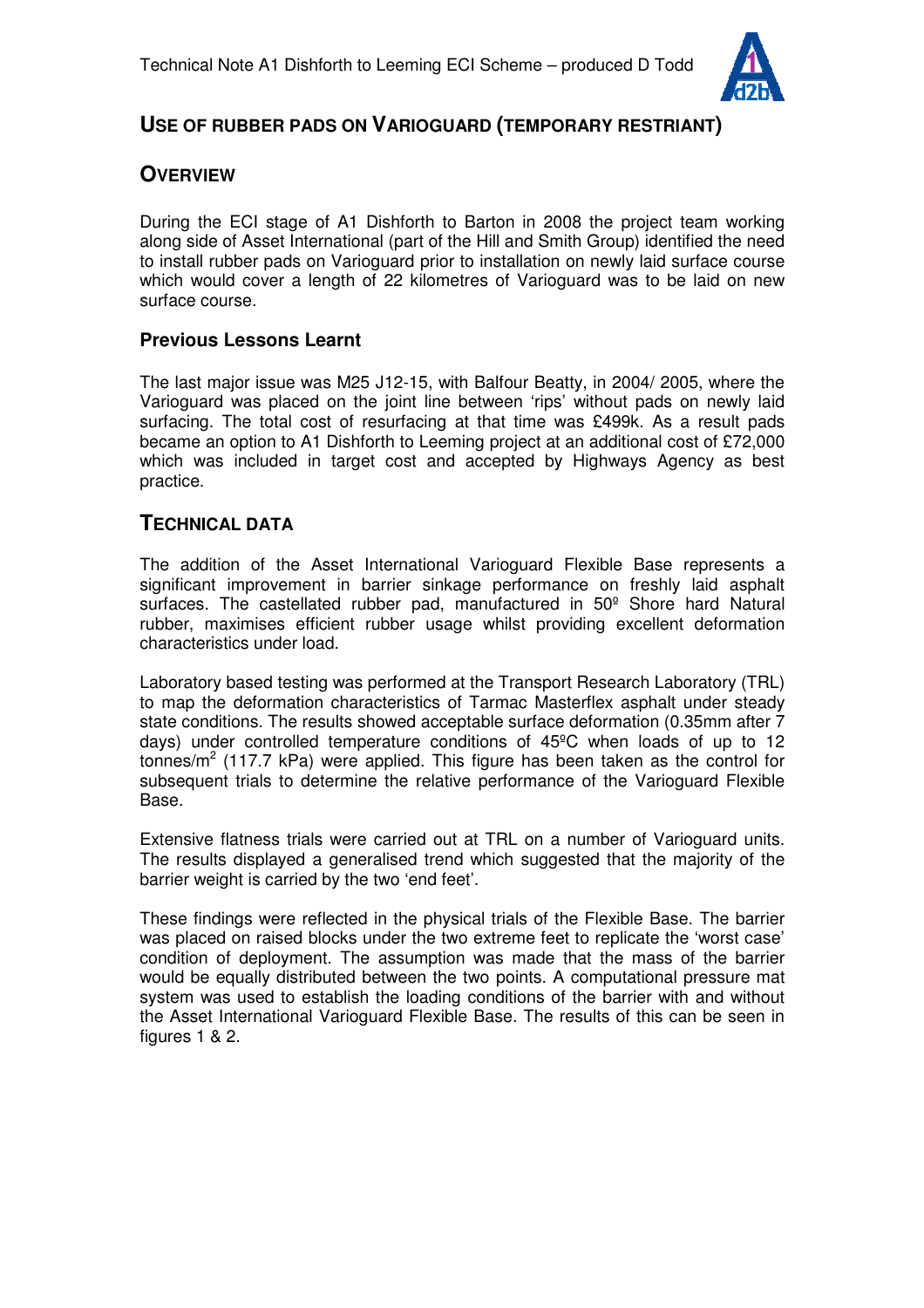

# **USE OF RUBBER PADS ON VARIOGUARD (TEMPORARY RESTRIANT)**

# **OVERVIEW**

During the ECI stage of A1 Dishforth to Barton in 2008 the project team working along side of Asset International (part of the Hill and Smith Group) identified the need to install rubber pads on Varioguard prior to installation on newly laid surface course which would cover a length of 22 kilometres of Varioguard was to be laid on new surface course.

## **Previous Lessons Learnt**

The last major issue was M25 J12-15, with Balfour Beatty, in 2004/ 2005, where the Varioguard was placed on the joint line between 'rips' without pads on newly laid surfacing. The total cost of resurfacing at that time was £499k. As a result pads became an option to A1 Dishforth to Leeming project at an additional cost of £72,000 which was included in target cost and accepted by Highways Agency as best practice.

## **TECHNICAL DATA**

The addition of the Asset International Varioguard Flexible Base represents a significant improvement in barrier sinkage performance on freshly laid asphalt surfaces. The castellated rubber pad, manufactured in 50º Shore hard Natural rubber, maximises efficient rubber usage whilst providing excellent deformation characteristics under load.

Laboratory based testing was performed at the Transport Research Laboratory (TRL) to map the deformation characteristics of Tarmac Masterflex asphalt under steady state conditions. The results showed acceptable surface deformation (0.35mm after 7 days) under controlled temperature conditions of 45ºC when loads of up to 12 tonnes/m<sup>2</sup> (117.7 kPa) were applied. This figure has been taken as the control for subsequent trials to determine the relative performance of the Varioguard Flexible Base.

Extensive flatness trials were carried out at TRL on a number of Varioguard units. The results displayed a generalised trend which suggested that the majority of the barrier weight is carried by the two 'end feet'.

These findings were reflected in the physical trials of the Flexible Base. The barrier was placed on raised blocks under the two extreme feet to replicate the 'worst case' condition of deployment. The assumption was made that the mass of the barrier would be equally distributed between the two points. A computational pressure mat system was used to establish the loading conditions of the barrier with and without the Asset International Varioguard Flexible Base. The results of this can be seen in figures 1 & 2.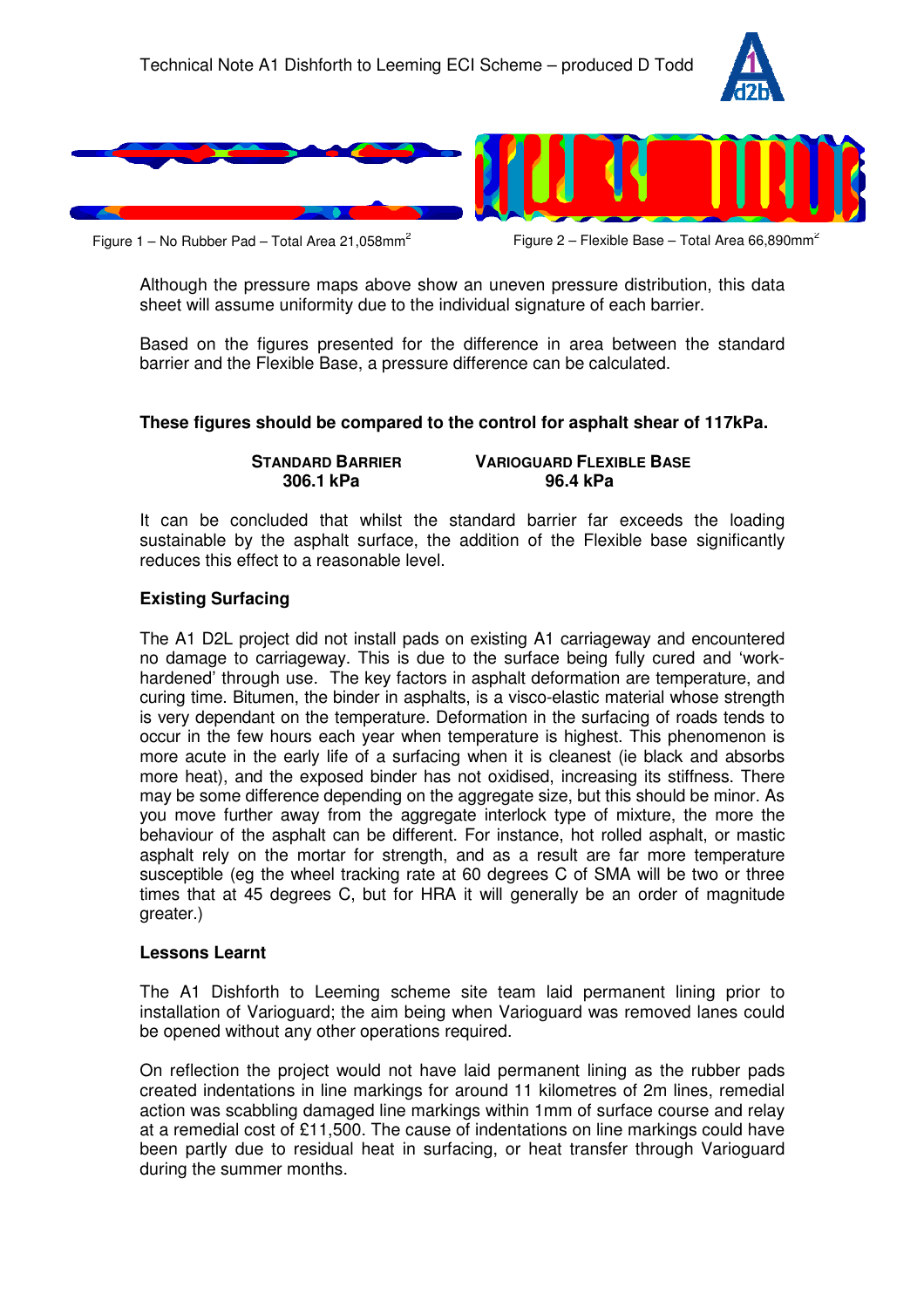



Figure 1 – No Rubber Pad – Total Area 21,058mm<sup>2</sup>

Figure 2 – Flexible Base – Total Area 66,890mm<sup>2</sup>

Although the pressure maps above show an uneven pressure distribution, this data sheet will assume uniformity due to the individual signature of each barrier.

Based on the figures presented for the difference in area between the standard barrier and the Flexible Base, a pressure difference can be calculated.

#### **These figures should be compared to the control for asphalt shear of 117kPa.**

 **STANDARD BARRIER VARIOGUARD FLEXIBLE BASE 306.1 kPa 96.4 kPa**

It can be concluded that whilst the standard barrier far exceeds the loading sustainable by the asphalt surface, the addition of the Flexible base significantly reduces this effect to a reasonable level.

#### **Existing Surfacing**

The A1 D2L project did not install pads on existing A1 carriageway and encountered no damage to carriageway. This is due to the surface being fully cured and 'workhardened' through use. The key factors in asphalt deformation are temperature, and curing time. Bitumen, the binder in asphalts, is a visco-elastic material whose strength is very dependant on the temperature. Deformation in the surfacing of roads tends to occur in the few hours each year when temperature is highest. This phenomenon is more acute in the early life of a surfacing when it is cleanest (ie black and absorbs more heat), and the exposed binder has not oxidised, increasing its stiffness. There may be some difference depending on the aggregate size, but this should be minor. As you move further away from the aggregate interlock type of mixture, the more the behaviour of the asphalt can be different. For instance, hot rolled asphalt, or mastic asphalt rely on the mortar for strength, and as a result are far more temperature susceptible (eg the wheel tracking rate at 60 degrees C of SMA will be two or three times that at 45 degrees C, but for HRA it will generally be an order of magnitude greater.)

#### **Lessons Learnt**

The A1 Dishforth to Leeming scheme site team laid permanent lining prior to installation of Varioguard; the aim being when Varioguard was removed lanes could be opened without any other operations required.

On reflection the project would not have laid permanent lining as the rubber pads created indentations in line markings for around 11 kilometres of 2m lines, remedial action was scabbling damaged line markings within 1mm of surface course and relay at a remedial cost of £11,500. The cause of indentations on line markings could have been partly due to residual heat in surfacing, or heat transfer through Varioguard during the summer months.